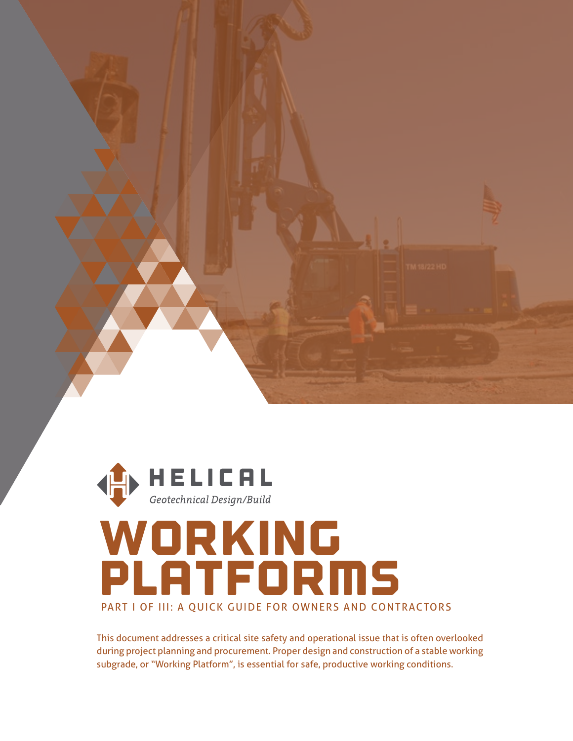



## woRKIng PlATFORMS PART I OF III: A QUICK GUIDE FOR OWNERS AND CONTRACTORS

This document addresses a critical site safety and operational issue that is often overlooked during project planning and procurement. Proper design and construction of a stable working subgrade, or "Working Platform", is essential for safe, productive working conditions.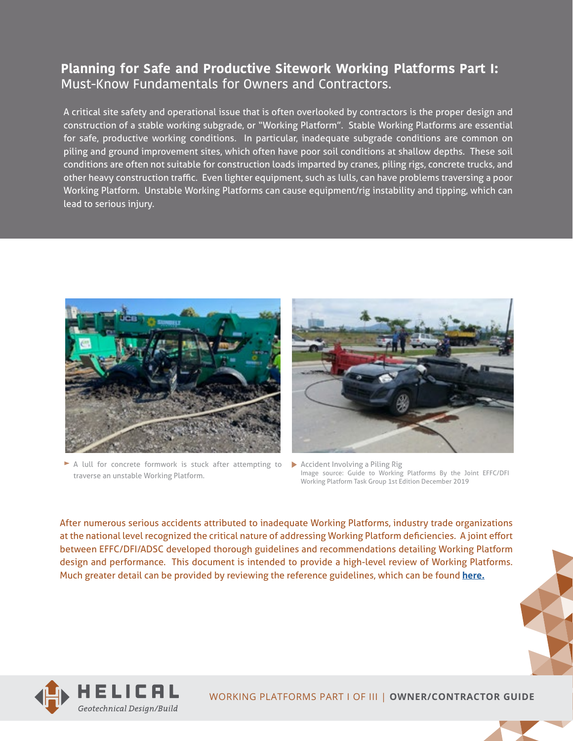## **Planning for Safe and Productive Sitework Working Platforms Part I:**  Must-Know Fundamentals for Owners and Contractors.

A critical site safety and operational issue that is often overlooked by contractors is the proper design and construction of a stable working subgrade, or "Working Platform". Stable Working Platforms are essential for safe, productive working conditions. In particular, inadequate subgrade conditions are common on piling and ground improvement sites, which often have poor soil conditions at shallow depths. These soil conditions are often not suitable for construction loads imparted by cranes, piling rigs, concrete trucks, and other heavy construction traffic. Even lighter equipment, such as lulls, can have problems traversing a poor Working Platform. Unstable Working Platforms can cause equipment/rig instability and tipping, which can lead to serious injury.



A lull for concrete formwork is stuck after attempting to traverse an unstable Working Platform.



Accident Involving a Piling Rig Image source: Guide to Working Platforms By the Joint EFFC/DFI Working Platform Task Group 1st Edition December 2019

[After numerous serious accidents attributed to inadequate Working Platforms, industry trade organizations](http://www.dfi.org/commhome.asp?WPWG)  at the national level recognized the critical nature of addressing Working Platform deficiencies. A joint effort between EFFC/DFI/ADSC developed thorough guidelines and recommendations detailing Working Platform design and performance. This document is intended to provide a high-level review of Working Platforms. Much greater detail can be provided by reviewing the reference guidelines, which can be found **[here.](http://www.dfi.org/commhome.asp?WPWG)**



WORKING PLATFORMS PART I OF III | **OWNER/CONTRACTOR GUIDE**

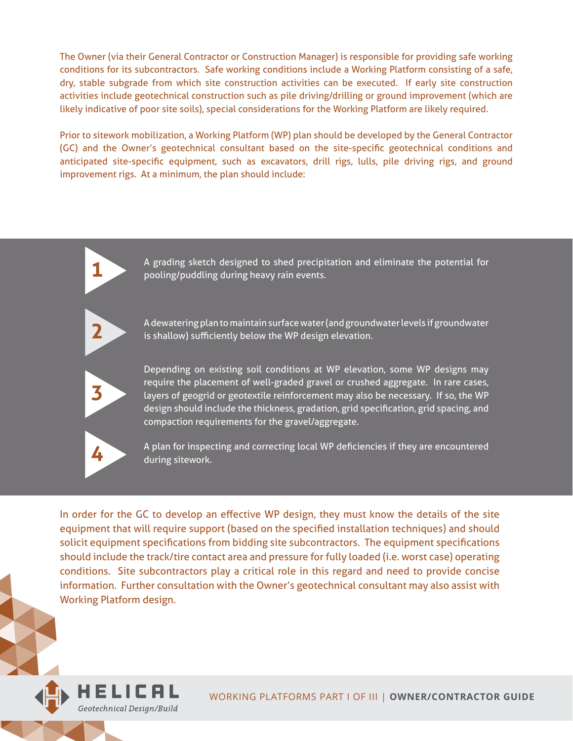The Owner (via their General Contractor or Construction Manager) is responsible for providing safe working conditions for its subcontractors. Safe working conditions include a Working Platform consisting of a safe, dry, stable subgrade from which site construction activities can be executed. If early site construction activities include geotechnical construction such as pile driving/drilling or ground improvement (which are likely indicative of poor site soils), special considerations for the Working Platform are likely required.

Prior to sitework mobilization, a Working Platform (WP) plan should be developed by the General Contractor (GC) and the Owner's geotechnical consultant based on the site-specific geotechnical conditions and anticipated site-specific equipment, such as excavators, drill rigs, lulls, pile driving rigs, and ground improvement rigs. At a minimum, the plan should include:



A grading sketch designed to shed precipitation and eliminate the potential for pooling/puddling during heavy rain events.



A dewatering plan to maintain surface water (and groundwater levels if groundwater is shallow) sufficiently below the WP design elevation.



Depending on existing soil conditions at WP elevation, some WP designs may require the placement of well-graded gravel or crushed aggregate. In rare cases, layers of geogrid or geotextile reinforcement may also be necessary. If so, the WP design should include the thickness, gradation, grid specification, grid spacing, and compaction requirements for the gravel/aggregate.



A plan for inspecting and correcting local WP deficiencies if they are encountered during sitework.

In order for the GC to develop an effective WP design, they must know the details of the site equipment that will require support (based on the specified installation techniques) and should solicit equipment specifications from bidding site subcontractors. The equipment specifications should include the track/tire contact area and pressure for fully loaded (i.e. worst case) operating conditions. Site subcontractors play a critical role in this regard and need to provide concise information. Further consultation with the Owner's geotechnical consultant may also assist with Working Platform design.